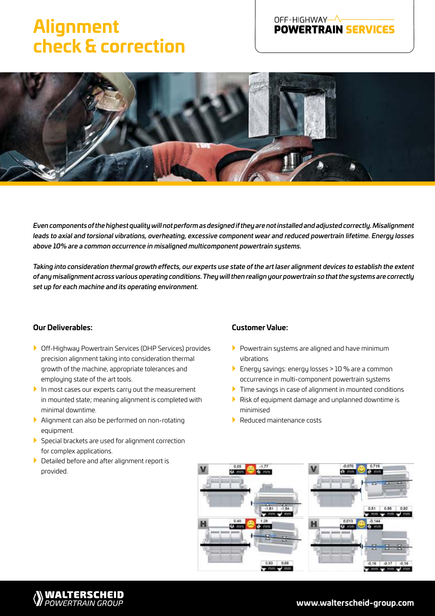### **Alignment check & correction**

# OFF-HIGHWAY-A-**---------------------**<br>POWERTRAIN SERVICES



*Even components of the highest quality will not perform as designed if they are not installed and adjusted correctly. Misalignment leads to axial and torsional vibrations, overheating, excessive component wear and reduced powertrain lifetime. Energy losses above 10% are a common occurrence in misaligned multicomponent powertrain systems.*

*Taking into consideration thermal growth effects, our experts use state of the art laser alignment devices to establish the extent of any misalignment across various operating conditions. They will then realign your powertrain so that the systems are correctly set up for each machine and its operating environment.*

#### **Our Deliverables:**

- } Off-Highway Powertrain Services (OHP Services) provides precision alignment taking into consideration thermal growth of the machine, appropriate tolerances and employing state of the art tools.
- $\blacktriangleright$  In most cases our experts carry out the measurement in mounted state; meaning alignment is completed with minimal downtime.
- } Alignment can also be performed on non-rotating equipment.
- } Special brackets are used for alignment correction for complex applications.
- } Detailed before and after alignment report is provided.

**WALTERSCHEID**<br>POWERTRAIN GROUP

#### **Customer Value:**

- $\blacktriangleright$  Powertrain systems are aligned and have minimum vibrations
- } Energy savings: energy losses > 10 % are a common occurrence in multi-component powertrain systems
- $\blacktriangleright$  Time savings in case of alignment in mounted conditions
- } Risk of equipment damage and unplanned downtime is minimised
- } Reduced maintenance costs